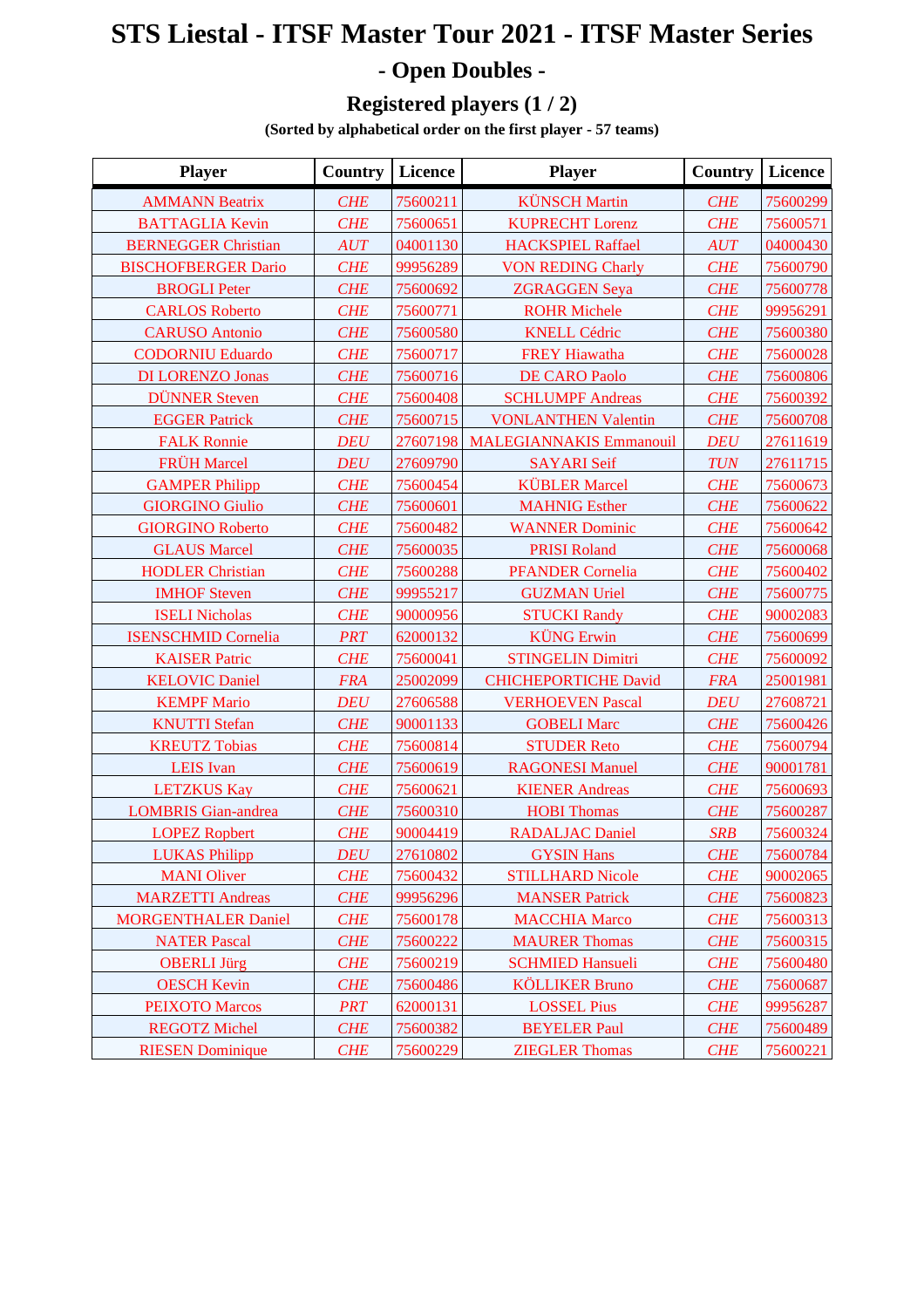## **STS Liestal - ITSF Master Tour 2021 - ITSF Master Series - Open Doubles -**

## **Registered players (1 / 2)**

**(Sorted by alphabetical order on the first player - 57 teams)**

| <b>Player</b>              | <b>Country</b> | Licence  | <b>Player</b>                  | <b>Country</b> | Licence  |
|----------------------------|----------------|----------|--------------------------------|----------------|----------|
| <b>AMMANN Beatrix</b>      | <b>CHE</b>     | 75600211 | <b>KÜNSCH Martin</b>           | <b>CHE</b>     | 75600299 |
| <b>BATTAGLIA Kevin</b>     | <b>CHE</b>     | 75600651 | <b>KUPRECHT Lorenz</b>         | <b>CHE</b>     | 75600571 |
| <b>BERNEGGER Christian</b> | AUT            | 04001130 | <b>HACKSPIEL Raffael</b>       | AUT            | 04000430 |
| <b>BISCHOFBERGER Dario</b> | <b>CHE</b>     | 99956289 | <b>VON REDING Charly</b>       | <b>CHE</b>     | 75600790 |
| <b>BROGLI Peter</b>        | <b>CHE</b>     | 75600692 | <b>ZGRAGGEN Seya</b>           | <b>CHE</b>     | 75600778 |
| <b>CARLOS Roberto</b>      | <b>CHE</b>     | 75600771 | <b>ROHR Michele</b>            | <b>CHE</b>     | 99956291 |
| <b>CARUSO Antonio</b>      | <b>CHE</b>     | 75600580 | <b>KNELL Cédric</b>            | <b>CHE</b>     | 75600380 |
| <b>CODORNIU Eduardo</b>    | <b>CHE</b>     | 75600717 | <b>FREY Hiawatha</b>           | <b>CHE</b>     | 75600028 |
| <b>DI LORENZO Jonas</b>    | <b>CHE</b>     | 75600716 | <b>DE CARO Paolo</b>           | <b>CHE</b>     | 75600806 |
| <b>DÜNNER Steven</b>       | <b>CHE</b>     | 75600408 | <b>SCHLUMPF Andreas</b>        | <b>CHE</b>     | 75600392 |
| <b>EGGER Patrick</b>       | <b>CHE</b>     | 75600715 | <b>VONLANTHEN Valentin</b>     | <b>CHE</b>     | 75600708 |
| <b>FALK Ronnie</b>         | <b>DEU</b>     | 27607198 | <b>MALEGIANNAKIS Emmanouil</b> | <b>DEU</b>     | 27611619 |
| <b>FRÜH Marcel</b>         | <b>DEU</b>     | 27609790 | <b>SAYARI</b> Seif             | <b>TUN</b>     | 27611715 |
| <b>GAMPER Philipp</b>      | <b>CHE</b>     | 75600454 | <b>KÜBLER</b> Marcel           | <b>CHE</b>     | 75600673 |
| <b>GIORGINO Giulio</b>     | <b>CHE</b>     | 75600601 | <b>MAHNIG Esther</b>           | <b>CHE</b>     | 75600622 |
| <b>GIORGINO Roberto</b>    | <b>CHE</b>     | 75600482 | <b>WANNER Dominic</b>          | <b>CHE</b>     | 75600642 |
| <b>GLAUS Marcel</b>        | <b>CHE</b>     | 75600035 | <b>PRISI Roland</b>            | <b>CHE</b>     | 75600068 |
| <b>HODLER Christian</b>    | <b>CHE</b>     | 75600288 | <b>PFANDER Cornelia</b>        | <b>CHE</b>     | 75600402 |
| <b>IMHOF Steven</b>        | <b>CHE</b>     | 99955217 | <b>GUZMAN Uriel</b>            | <b>CHE</b>     | 75600775 |
| <b>ISELI Nicholas</b>      | <b>CHE</b>     | 90000956 | <b>STUCKI Randy</b>            | <b>CHE</b>     | 90002083 |
| <b>ISENSCHMID Cornelia</b> | <b>PRT</b>     | 62000132 | <b>KÜNG</b> Erwin              | <b>CHE</b>     | 75600699 |
| <b>KAISER Patric</b>       | <b>CHE</b>     | 75600041 | <b>STINGELIN Dimitri</b>       | <b>CHE</b>     | 75600092 |
| <b>KELOVIC Daniel</b>      | <b>FRA</b>     | 25002099 | <b>CHICHEPORTICHE David</b>    | <b>FRA</b>     | 25001981 |
| <b>KEMPF Mario</b>         | <b>DEU</b>     | 27606588 | <b>VERHOEVEN Pascal</b>        | <b>DEU</b>     | 27608721 |
| <b>KNUTTI</b> Stefan       | <b>CHE</b>     | 90001133 | <b>GOBELI Marc</b>             | <b>CHE</b>     | 75600426 |
| <b>KREUTZ Tobias</b>       | <b>CHE</b>     | 75600814 | <b>STUDER Reto</b>             | <b>CHE</b>     | 75600794 |
| <b>LEIS</b> Ivan           | <b>CHE</b>     | 75600619 | <b>RAGONESI Manuel</b>         | <b>CHE</b>     | 90001781 |
| <b>LETZKUS Kay</b>         | <b>CHE</b>     | 75600621 | <b>KIENER Andreas</b>          | <b>CHE</b>     | 75600693 |
| <b>LOMBRIS</b> Gian-andrea | <b>CHE</b>     | 75600310 | <b>HOBI</b> Thomas             | <b>CHE</b>     | 75600287 |
| <b>LOPEZ Ropbert</b>       | <b>CHE</b>     | 90004419 | <b>RADALJAC Daniel</b>         | <b>SRB</b>     | 75600324 |
| <b>LUKAS Philipp</b>       | <b>DEU</b>     | 27610802 | <b>GYSIN Hans</b>              | <b>CHE</b>     | 75600784 |
| <b>MANI</b> Oliver         | <b>CHE</b>     | 75600432 | <b>STILLHARD Nicole</b>        | <b>CHE</b>     | 90002065 |
| <b>MARZETTI Andreas</b>    | CHE            | 99956296 | <b>MANSER Patrick</b>          | <b>CHE</b>     | 75600823 |
| <b>MORGENTHALER Daniel</b> | <b>CHE</b>     | 75600178 | <b>MACCHIA Marco</b>           | <b>CHE</b>     | 75600313 |
| <b>NATER Pascal</b>        | <b>CHE</b>     | 75600222 | <b>MAURER Thomas</b>           | <b>CHE</b>     | 75600315 |
| <b>OBERLI Jürg</b>         | <b>CHE</b>     | 75600219 | <b>SCHMIED Hansueli</b>        | <b>CHE</b>     | 75600480 |
| <b>OESCH Kevin</b>         | <b>CHE</b>     | 75600486 | <b>KÖLLIKER Bruno</b>          | <b>CHE</b>     | 75600687 |
| <b>PEIXOTO</b> Marcos      | <b>PRT</b>     | 62000131 | <b>LOSSEL Pius</b>             | <b>CHE</b>     | 99956287 |
| <b>REGOTZ Michel</b>       | CHE            | 75600382 | <b>BEYELER Paul</b>            | <b>CHE</b>     | 75600489 |
| <b>RIESEN</b> Dominique    | <b>CHE</b>     | 75600229 | <b>ZIEGLER Thomas</b>          | <b>CHE</b>     | 75600221 |